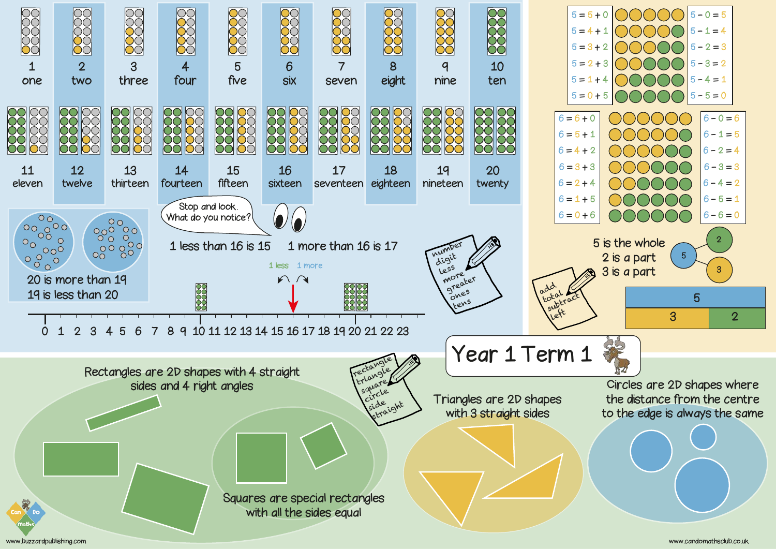www.buzzardpublishing.com www.candomathsclub.co.uk

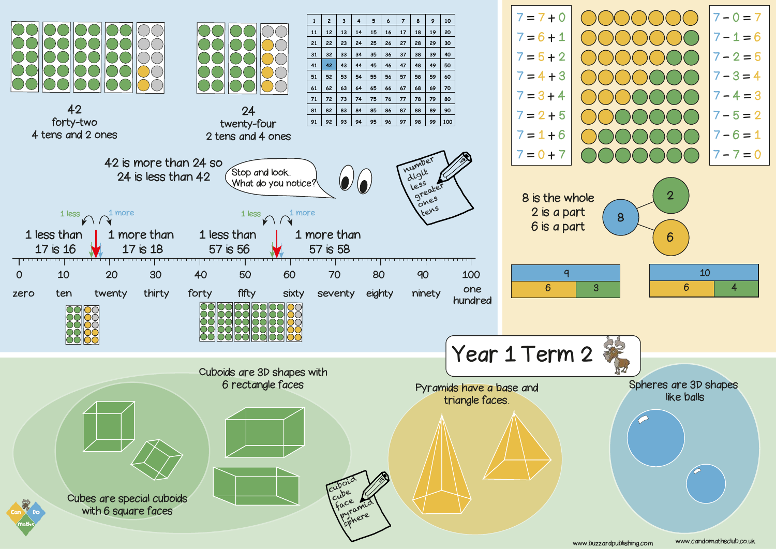www.buzzardpublishing.com www.candomathsclub.co.uk

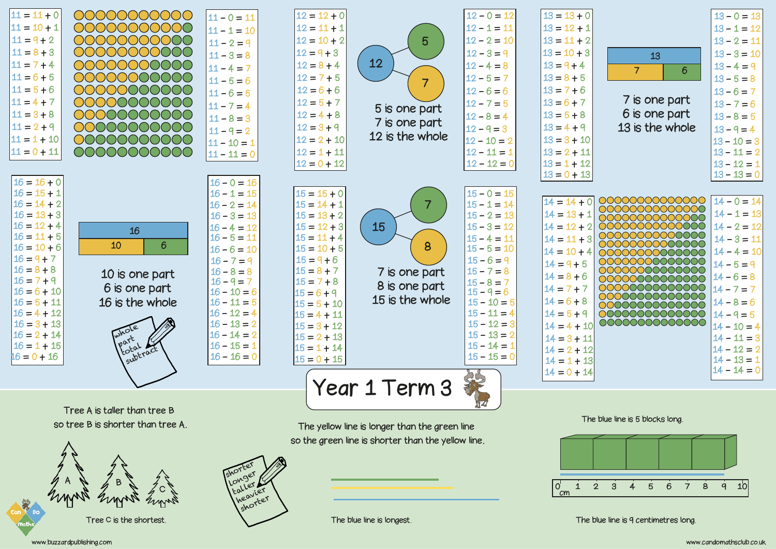

Tree A is taller than tree B so tree B is shorter than tree A.



shorter Longer. taller Le heavier shorter

The yellow line is longer than the green line so the green line is shorter than the yellow line.

> $\overline{O}^{\prime}$  $\mathbf{1}$ ັດຫ

The blue line is longest.

The blue line is 9 centimetres long

## The blue line is 5 blocks long.

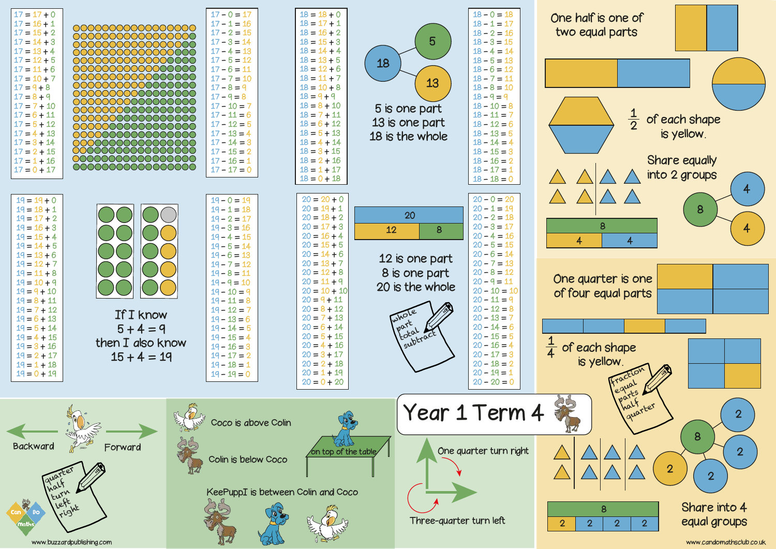|                                                                                                                                                                                                                                                                                                                                                                                | 00000000000000000<br>00000000000000000<br>00000000000000000<br>00000000000000000<br>00000000000000000<br>00000000000000000<br>00000000000000000<br>00000000000000000<br>00000000000000000<br>00000000000000000<br>00000000000000000<br>00000000000000000<br>00000000000000000<br>00000000000000000<br>00000000000000000<br>00000000000000000<br>00000000000000000<br>0000000000000000 |                                                                                                                                                                                                                                                                                                                                                           | $18 =$<br>$+0$<br>$18 = 17$<br>$+1$<br>$18 =$<br>$+2$<br>$18 =$<br>$+3$<br>$18 =$<br>$+4$<br>$18 =$<br>$+5$<br>$18 =$<br>$+6$<br>$18 =$<br>$+7$<br>$18 = 10$<br>$+8$<br>$18 = 9 + 9$<br>$18 = 8 + 10$<br>$18 = 7 + 11$<br>$18 =$<br>$6 + 12$<br>$18 = 5 + 13$<br>$18 = 4 + 14$<br>$18 = 3 + 15$<br>$18 = 2 + 16$<br>$18 = 1 + 17$<br>$18 = 0 + 18$                                                          |                                | $18 - 0 = 18$<br>$18 - 1 =$<br>17<br>$18 - 2 =$<br>16<br>$18 - 3 =$<br>15<br>$18 - 4 =$<br>14<br>$18 - 5 =$<br>13<br>$18 - 6 = 12$<br>$18 - 7 =$<br>11<br>$18 - 8 =$<br>$18 - 9 =$<br>$18 - 10 =$<br>$18 - 11 =$<br>$18 - 12 =$<br>$18 - 13 =$<br>$18 - 14 =$<br>$18 - 15 =$<br>$18 - 16 =$<br>$18 - 17 =$<br>$18 - 18 =$ | One ho<br>two e                                                         |
|--------------------------------------------------------------------------------------------------------------------------------------------------------------------------------------------------------------------------------------------------------------------------------------------------------------------------------------------------------------------------------|---------------------------------------------------------------------------------------------------------------------------------------------------------------------------------------------------------------------------------------------------------------------------------------------------------------------------------------------------------------------------------------|-----------------------------------------------------------------------------------------------------------------------------------------------------------------------------------------------------------------------------------------------------------------------------------------------------------------------------------------------------------|-------------------------------------------------------------------------------------------------------------------------------------------------------------------------------------------------------------------------------------------------------------------------------------------------------------------------------------------------------------------------------------------------------------|--------------------------------|---------------------------------------------------------------------------------------------------------------------------------------------------------------------------------------------------------------------------------------------------------------------------------------------------------------------------|-------------------------------------------------------------------------|
| $19 =$<br>$+0$<br>$19 =$<br>8+1<br>$19 =$<br>$+2$<br>$19 =$<br>$+3$<br>$19 =$<br>$+4$<br>$19 =$<br>$+5$<br>$19 =$<br>$+6$<br>$19 =$<br>$+7$<br>$19 =$<br>$+8$<br>$19 =$<br>$+9$<br>$19 =$<br>$+10$<br>$19 =$<br>$8+11$<br>$19 =$<br>7 + 12<br>$19 =$<br>$+13$<br>$19 =$<br>$+14$<br>$19 =$<br>$+15$<br>$19 =$<br>$+16$<br>$19 =$<br>$2 + 17$<br>$19 = 1 + 18$<br>$19 = 0 + 19$ | If I know<br>$5 + 4 = 9$<br>then I also know<br>$15 + 4 = 19$                                                                                                                                                                                                                                                                                                                         | $19 - 0 = 19$<br>$19 - 1 =$<br>18<br>$19 - 2 =$<br>17<br>$19 - 3 = 16$<br>$19 - 4 =$<br>15<br>$19 - 5 =$<br>L4-<br>$19 - 6 =$<br>13<br>$19 - 7 =$<br>12<br>$19 - 8 =$<br>11<br>$19 - 9 =$<br>10<br>$19 - 10 =$<br>$19 - 11 =$<br>$19 - 12 =$<br>$19 - 13 =$<br>$19 - 14 =$<br>$19 - 15 =$<br>$19 - 16 =$<br>$19 - 17 =$<br>$19 - 18 = 1$<br>$19 - 19 = 0$ | $20 =$<br>$+0$<br>$20 = 19$<br>$+1$<br>$20 =$<br>$+2$<br>$20 =$<br>$+3$<br>$20 =$<br>$+4$<br>$20 =$<br>$+5$<br>$20 =$<br>$+6$<br>$20 =$<br>$+7$<br>$20 =$<br>$+8$<br>$20 =$<br>$+9$<br>$20 =$<br>$+10$<br>$20 = 9 + 11$<br>$20 = 8 + 12$<br>$20 =$<br>$7 + 13$<br>$6 + 14$<br>$20 =$<br>$20 =$<br>$5 + 15$<br>$4 + 16$<br>$20 =$<br>$3 + 17$<br>$20 = 1$<br>$20 = 2 + 18$<br>$20 = 1 + 19$<br>$20 = 0 + 20$ | whole<br>Part .<br>I subtract, | $20 - 0 =$<br>$20 - 1 =$<br>$20 - 2 =$<br>$20 - 3 =$<br>$20 - 4 =$<br>$20 - 5 =$<br>$20 - 6 =$<br>$20 - 7 =$<br>$20 - 8 =$<br>$20 - 9 =$<br>$20 - 10 =$<br>$20 - 11 =$<br>$20 - 12 =$<br>$20 - 13 =$<br>$20 - 14 =$<br>$20 - 15 =$<br>$20 - 16 =$<br>$20 - 17 =$<br>$20 - 18 =$<br>$20 - 19 =$<br>$20 - 20 =$             | $\overline{4}$<br>One q<br>of fou<br>$\frac{1}{4}$<br>of e<br><b>IS</b> |
| Backward                                                                                                                                                                                                                                                                                                                                                                       |                                                                                                                                                                                                                                                                                                                                                                                       | Coco is above Colin<br>Colin is below Coco<br>KeePuppI is between Colin and Coco                                                                                                                                                                                                                                                                          | on top of the table                                                                                                                                                                                                                                                                                                                                                                                         | Three-quarter turn left        | One quarter turn right                                                                                                                                                                                                                                                                                                    | $\overline{2}$                                                          |

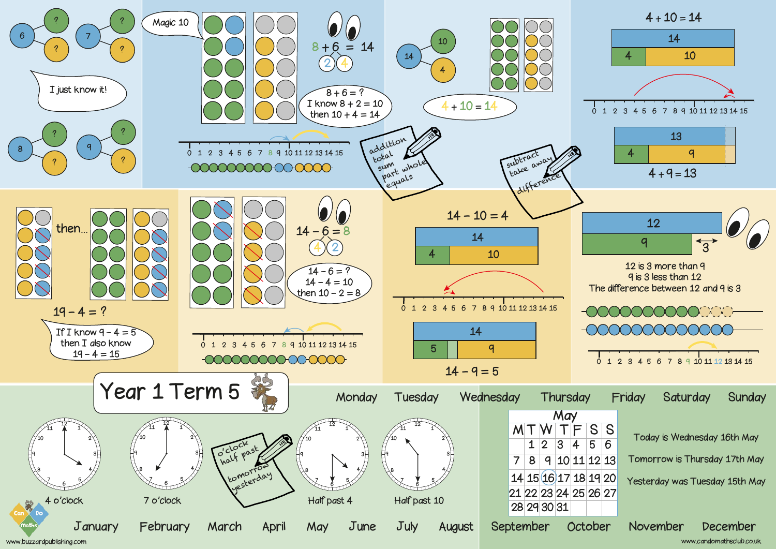